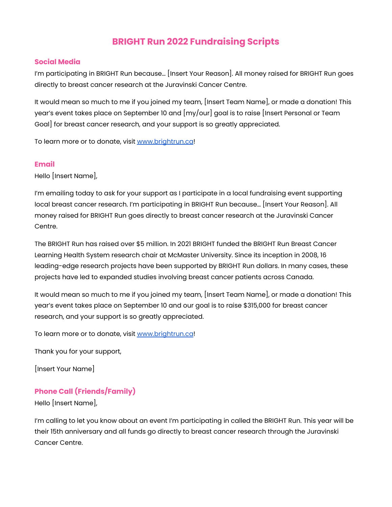## **BRIGHT Run 2022 Fundraising Scripts**

## **Social Media**

I'm participating in BRIGHT Run because… [Insert Your Reason]. All money raised for BRIGHT Run goes directly to breast cancer research at the Juravinski Cancer Centre.

It would mean so much to me if you joined my team, [Insert Team Name], or made a donation! This year's event takes place on September 10 and [my/our] goal is to raise [Insert Personal or Team Goal] for breast cancer research, and your support is so greatly appreciated.

To learn more or to donate, visit [www.brightrun.ca](http://www.brightrun.ca)!

## **Email**

Hello [Insert Name],

I'm emailing today to ask for your support as I participate in a local fundraising event supporting local breast cancer research. I'm participating in BRIGHT Run because… [Insert Your Reason]. All money raised for BRIGHT Run goes directly to breast cancer research at the Juravinski Cancer Centre.

The BRIGHT Run has raised over \$5 million. In 2021 BRIGHT funded the BRIGHT Run Breast Cancer Learning Health System research chair at McMaster University. Since its inception in 2008, 16 leading-edge research projects have been supported by BRIGHT Run dollars. In many cases, these projects have led to expanded studies involving breast cancer patients across Canada.

It would mean so much to me if you joined my team, [Insert Team Name], or made a donation! This year's event takes place on September 10 and our goal is to raise \$315,000 for breast cancer research, and your support is so greatly appreciated.

To learn more or to donate, visit [www.brightrun.ca](http://www.brightrun.ca)!

Thank you for your support,

[Insert Your Name]

## **Phone Call (Friends/Family)**

Hello [Insert Name],

I'm calling to let you know about an event I'm participating in called the BRIGHT Run. This year will be their 15th anniversary and all funds go directly to breast cancer research through the Juravinski Cancer Centre.